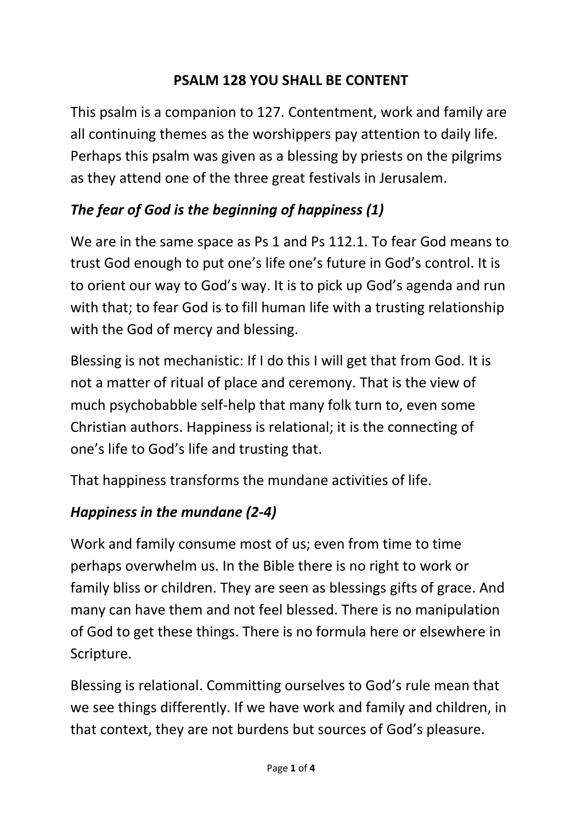### **PSALM 128 YOU SHALL BE CONTENT**

This psalm is a companion to 127. Contentment, work and family are all continuing themes as the worshippers pay attention to daily life. Perhaps this psalm was given as a blessing by priests on the pilgrims as they attend one of the three great festivals in Jerusalem.

### *The fear of God is the beginning of happiness (1)*

We are in the same space as Ps 1 and Ps 112.1. To fear God means to trust God enough to put one's life one's future in God's control. It is to orient our way to God's way. It is to pick up God's agenda and run with that; to fear God is to fill human life with a trusting relationship with the God of mercy and blessing.

Blessing is not mechanistic: If I do this I will get that from God. It is not a matter of ritual of place and ceremony. That is the view of much psychobabble self-help that many folk turn to, even some Christian authors. Happiness is relational; it is the connecting of one's life to God's life and trusting that.

That happiness transforms the mundane activities of life.

## *Happiness in the mundane (2-4)*

Work and family consume most of us; even from time to time perhaps overwhelm us. In the Bible there is no right to work or family bliss or children. They are seen as blessings gifts of grace. And many can have them and not feel blessed. There is no manipulation of God to get these things. There is no formula here or elsewhere in Scripture.

Blessing is relational. Committing ourselves to God's rule mean that we see things differently. If we have work and family and children, in that context, they are not burdens but sources of God's pleasure.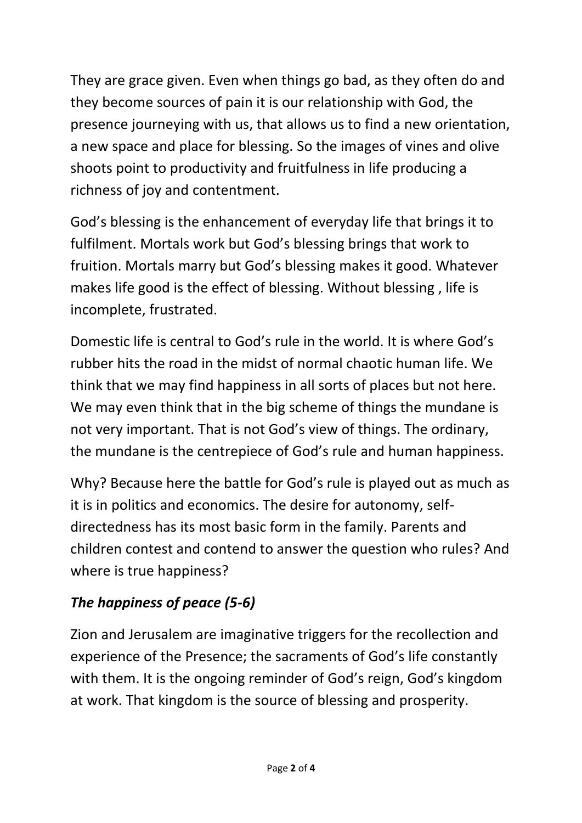They are grace given. Even when things go bad, as they often do and they become sources of pain it is our relationship with God, the presence journeying with us, that allows us to find a new orientation, a new space and place for blessing. So the images of vines and olive shoots point to productivity and fruitfulness in life producing a richness of joy and contentment.

God's blessing is the enhancement of everyday life that brings it to fulfilment. Mortals work but God's blessing brings that work to fruition. Mortals marry but God's blessing makes it good. Whatever makes life good is the effect of blessing. Without blessing , life is incomplete, frustrated.

Domestic life is central to God's rule in the world. It is where God's rubber hits the road in the midst of normal chaotic human life. We think that we may find happiness in all sorts of places but not here. We may even think that in the big scheme of things the mundane is not very important. That is not God's view of things. The ordinary, the mundane is the centrepiece of God's rule and human happiness.

Why? Because here the battle for God's rule is played out as much as it is in politics and economics. The desire for autonomy, selfdirectedness has its most basic form in the family. Parents and children contest and contend to answer the question who rules? And where is true happiness?

# *The happiness of peace (5-6)*

Zion and Jerusalem are imaginative triggers for the recollection and experience of the Presence; the sacraments of God's life constantly with them. It is the ongoing reminder of God's reign, God's kingdom at work. That kingdom is the source of blessing and prosperity.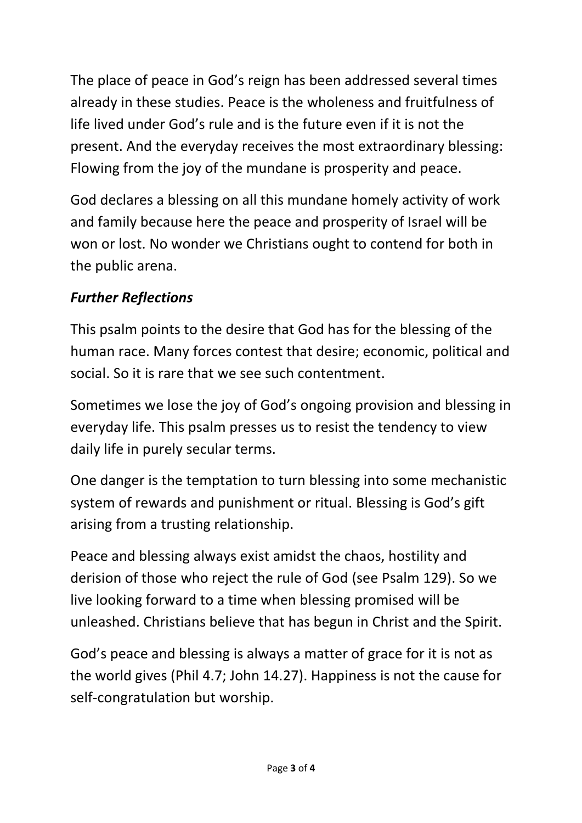The place of peace in God's reign has been addressed several times already in these studies. Peace is the wholeness and fruitfulness of life lived under God's rule and is the future even if it is not the present. And the everyday receives the most extraordinary blessing: Flowing from the joy of the mundane is prosperity and peace.

God declares a blessing on all this mundane homely activity of work and family because here the peace and prosperity of Israel will be won or lost. No wonder we Christians ought to contend for both in the public arena.

### *Further Reflections*

This psalm points to the desire that God has for the blessing of the human race. Many forces contest that desire; economic, political and social. So it is rare that we see such contentment.

Sometimes we lose the joy of God's ongoing provision and blessing in everyday life. This psalm presses us to resist the tendency to view daily life in purely secular terms.

One danger is the temptation to turn blessing into some mechanistic system of rewards and punishment or ritual. Blessing is God's gift arising from a trusting relationship.

Peace and blessing always exist amidst the chaos, hostility and derision of those who reject the rule of God (see Psalm 129). So we live looking forward to a time when blessing promised will be unleashed. Christians believe that has begun in Christ and the Spirit.

God's peace and blessing is always a matter of grace for it is not as the world gives (Phil 4.7; John 14.27). Happiness is not the cause for self-congratulation but worship.